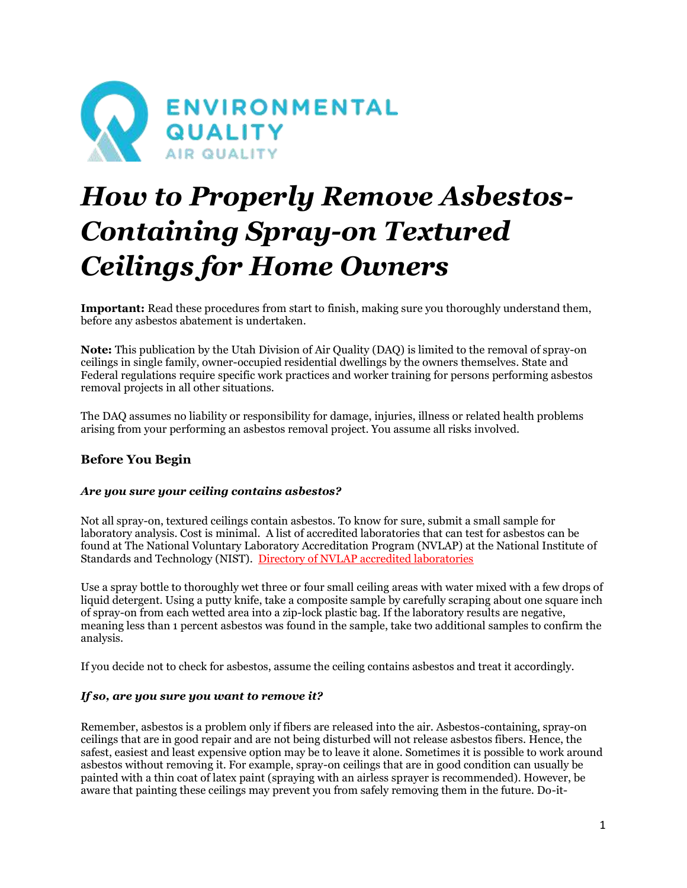

# *How to Properly Remove Asbestos-Containing Spray-on Textured Ceilings for Home Owners*

**Important:** Read these procedures from start to finish, making sure you thoroughly understand them, before any asbestos abatement is undertaken.

**Note:** This publication by the Utah Division of Air Quality (DAQ) is limited to the removal of spray-on ceilings in single family, owner-occupied residential dwellings by the owners themselves. State and Federal regulations require specific work practices and worker training for persons performing asbestos removal projects in all other situations.

The DAQ assumes no liability or responsibility for damage, injuries, illness or related health problems arising from your performing an asbestos removal project. You assume all risks involved.

# **Before You Begin**

## *Are you sure your ceiling contains asbestos?*

Not all spray-on, textured ceilings contain asbestos. To know for sure, submit a small sample for laboratory analysis. Cost is minimal. A list of accredited laboratories that can test for asbestos can be found at The National Voluntary Laboratory Accreditation Program (NVLAP) at the National Institute of Standards and Technology (NIST). [Directory of NVLAP accredited laboratories](https://www-s.nist.gov/niws/index.cfm?event=directory.search#no-back)

Use a spray bottle to thoroughly wet three or four small ceiling areas with water mixed with a few drops of liquid detergent. Using a putty knife, take a composite sample by carefully scraping about one square inch of spray-on from each wetted area into a zip-lock plastic bag. If the laboratory results are negative, meaning less than 1 percent asbestos was found in the sample, take two additional samples to confirm the analysis.

If you decide not to check for asbestos, assume the ceiling contains asbestos and treat it accordingly.

## *If so, are you sure you want to remove it?*

Remember, asbestos is a problem only if fibers are released into the air. Asbestos-containing, spray-on ceilings that are in good repair and are not being disturbed will not release asbestos fibers. Hence, the safest, easiest and least expensive option may be to leave it alone. Sometimes it is possible to work around asbestos without removing it. For example, spray-on ceilings that are in good condition can usually be painted with a thin coat of latex paint (spraying with an airless sprayer is recommended). However, be aware that painting these ceilings may prevent you from safely removing them in the future. Do-it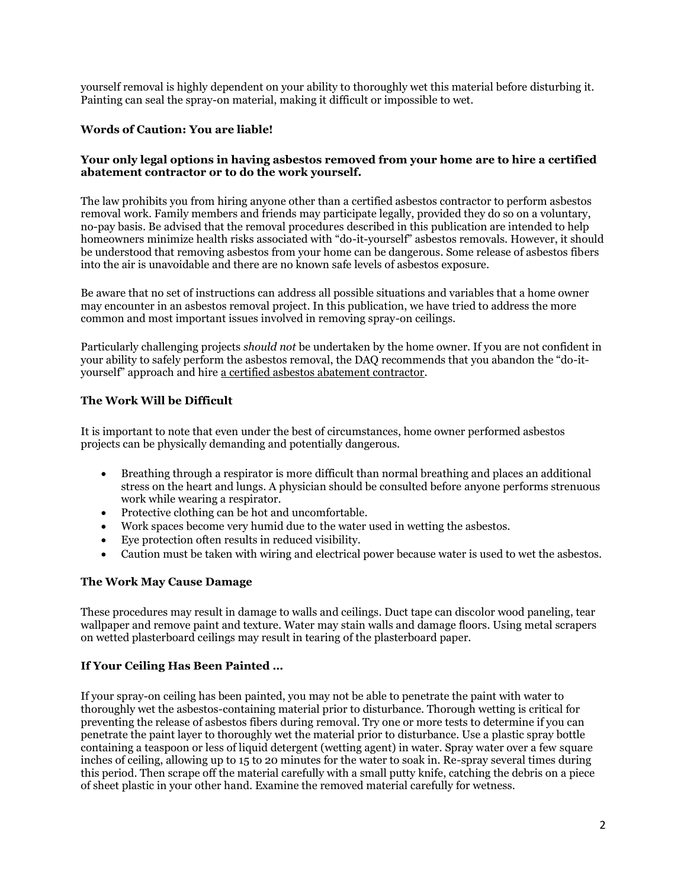yourself removal is highly dependent on your ability to thoroughly wet this material before disturbing it. Painting can seal the spray-on material, making it difficult or impossible to wet.

## **Words of Caution: You are liable!**

#### **Your only legal options in having asbestos removed from your home are to hire a certified abatement contractor or to do the work yourself.**

The law prohibits you from hiring anyone other than a certified asbestos contractor to perform asbestos removal work. Family members and friends may participate legally, provided they do so on a voluntary, no-pay basis. Be advised that the removal procedures described in this publication are intended to help homeowners minimize health risks associated with "do-it-yourself" asbestos removals. However, it should be understood that removing asbestos from your home can be dangerous. Some release of asbestos fibers into the air is unavoidable and there are no known safe levels of asbestos exposure.

Be aware that no set of instructions can address all possible situations and variables that a home owner may encounter in an asbestos removal project. In this publication, we have tried to address the more common and most important issues involved in removing spray-on ceilings.

Particularly challenging projects *should not* be undertaken by the home owner. If you are not confident in your ability to safely perform the asbestos removal, the DAQ recommends that you abandon the "do-ityourself" approach and hire [a certified asbestos abatement contractor.](https://documents.deq.utah.gov/air-quality/compliance/atlas/DAQ-2017-002404.pdf)

## **The Work Will be Difficult**

It is important to note that even under the best of circumstances, home owner performed asbestos projects can be physically demanding and potentially dangerous.

- Breathing through a respirator is more difficult than normal breathing and places an additional stress on the heart and lungs. A physician should be consulted before anyone performs strenuous work while wearing a respirator.
- Protective clothing can be hot and uncomfortable.
- Work spaces become very humid due to the water used in wetting the asbestos.
- Eye protection often results in reduced visibility.
- Caution must be taken with wiring and electrical power because water is used to wet the asbestos.

#### **The Work May Cause Damage**

These procedures may result in damage to walls and ceilings. Duct tape can discolor wood paneling, tear wallpaper and remove paint and texture. Water may stain walls and damage floors. Using metal scrapers on wetted plasterboard ceilings may result in tearing of the plasterboard paper.

## **If Your Ceiling Has Been Painted …**

If your spray-on ceiling has been painted, you may not be able to penetrate the paint with water to thoroughly wet the asbestos-containing material prior to disturbance. Thorough wetting is critical for preventing the release of asbestos fibers during removal. Try one or more tests to determine if you can penetrate the paint layer to thoroughly wet the material prior to disturbance. Use a plastic spray bottle containing a teaspoon or less of liquid detergent (wetting agent) in water. Spray water over a few square inches of ceiling, allowing up to 15 to 20 minutes for the water to soak in. Re-spray several times during this period. Then scrape off the material carefully with a small putty knife, catching the debris on a piece of sheet plastic in your other hand. Examine the removed material carefully for wetness.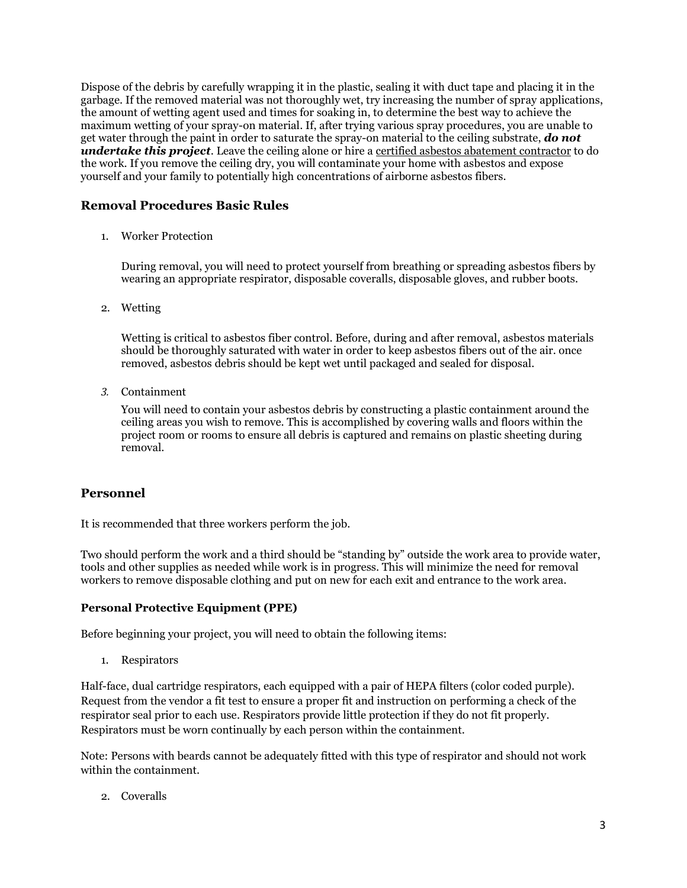Dispose of the debris by carefully wrapping it in the plastic, sealing it with duct tape and placing it in the garbage. If the removed material was not thoroughly wet, try increasing the number of spray applications, the amount of wetting agent used and times for soaking in, to determine the best way to achieve the maximum wetting of your spray-on material. If, after trying various spray procedures, you are unable to get water through the paint in order to saturate the spray-on material to the ceiling substrate, *do not undertake this project*. Leave the ceiling alone or hire a [certified asbestos abatement contractor](https://documents.deq.utah.gov/air-quality/compliance/atlas/DAQ-2017-002404.pdf) to do the work. If you remove the ceiling dry, you will contaminate your home with asbestos and expose yourself and your family to potentially high concentrations of airborne asbestos fibers.

# **Removal Procedures Basic Rules**

1. Worker Protection

During removal, you will need to protect yourself from breathing or spreading asbestos fibers by wearing an appropriate respirator, disposable coveralls, disposable gloves, and rubber boots.

2. Wetting

Wetting is critical to asbestos fiber control. Before, during and after removal, asbestos materials should be thoroughly saturated with water in order to keep asbestos fibers out of the air. once removed, asbestos debris should be kept wet until packaged and sealed for disposal.

*3.* Containment

You will need to contain your asbestos debris by constructing a plastic containment around the ceiling areas you wish to remove. This is accomplished by covering walls and floors within the project room or rooms to ensure all debris is captured and remains on plastic sheeting during removal.

# **Personnel**

It is recommended that three workers perform the job.

Two should perform the work and a third should be "standing by" outside the work area to provide water, tools and other supplies as needed while work is in progress. This will minimize the need for removal workers to remove disposable clothing and put on new for each exit and entrance to the work area.

# **Personal Protective Equipment (PPE)**

Before beginning your project, you will need to obtain the following items:

1. Respirators

Half-face, dual cartridge respirators, each equipped with a pair of HEPA filters (color coded purple). Request from the vendor a fit test to ensure a proper fit and instruction on performing a check of the respirator seal prior to each use. Respirators provide little protection if they do not fit properly. Respirators must be worn continually by each person within the containment.

Note: Persons with beards cannot be adequately fitted with this type of respirator and should not work within the containment.

2. Coveralls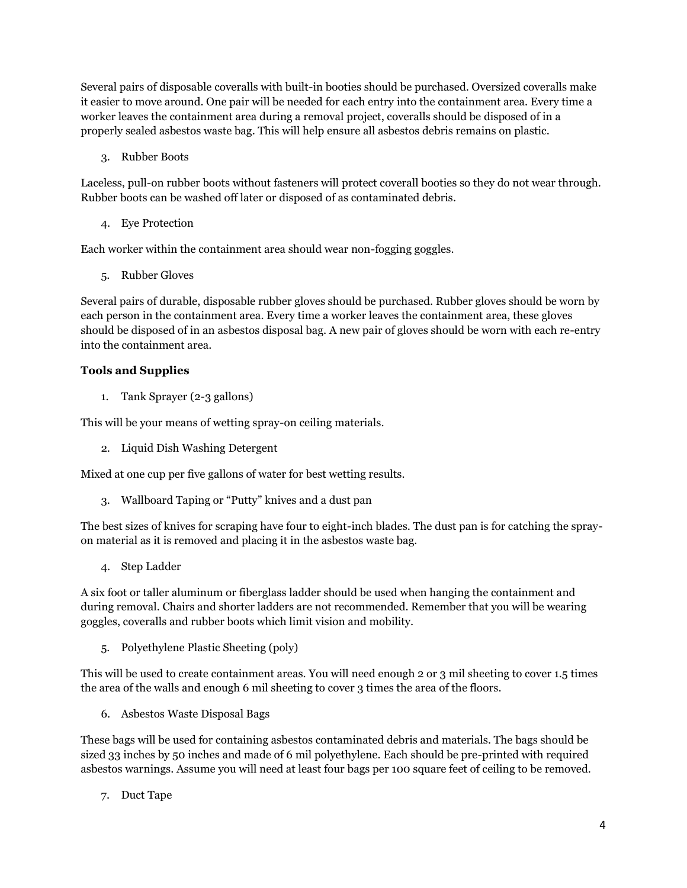Several pairs of disposable coveralls with built-in booties should be purchased. Oversized coveralls make it easier to move around. One pair will be needed for each entry into the containment area. Every time a worker leaves the containment area during a removal project, coveralls should be disposed of in a properly sealed asbestos waste bag. This will help ensure all asbestos debris remains on plastic.

3. Rubber Boots

Laceless, pull-on rubber boots without fasteners will protect coverall booties so they do not wear through. Rubber boots can be washed off later or disposed of as contaminated debris.

4. Eye Protection

Each worker within the containment area should wear non-fogging goggles.

5. Rubber Gloves

Several pairs of durable, disposable rubber gloves should be purchased. Rubber gloves should be worn by each person in the containment area. Every time a worker leaves the containment area, these gloves should be disposed of in an asbestos disposal bag. A new pair of gloves should be worn with each re-entry into the containment area.

## **Tools and Supplies**

1. Tank Sprayer (2-3 gallons)

This will be your means of wetting spray-on ceiling materials.

2. Liquid Dish Washing Detergent

Mixed at one cup per five gallons of water for best wetting results.

3. Wallboard Taping or "Putty" knives and a dust pan

The best sizes of knives for scraping have four to eight-inch blades. The dust pan is for catching the sprayon material as it is removed and placing it in the asbestos waste bag.

4. Step Ladder

A six foot or taller aluminum or fiberglass ladder should be used when hanging the containment and during removal. Chairs and shorter ladders are not recommended. Remember that you will be wearing goggles, coveralls and rubber boots which limit vision and mobility.

5. Polyethylene Plastic Sheeting (poly)

This will be used to create containment areas. You will need enough 2 or 3 mil sheeting to cover 1.5 times the area of the walls and enough 6 mil sheeting to cover 3 times the area of the floors.

6. Asbestos Waste Disposal Bags

These bags will be used for containing asbestos contaminated debris and materials. The bags should be sized 33 inches by 50 inches and made of 6 mil polyethylene. Each should be pre-printed with required asbestos warnings. Assume you will need at least four bags per 100 square feet of ceiling to be removed.

7. Duct Tape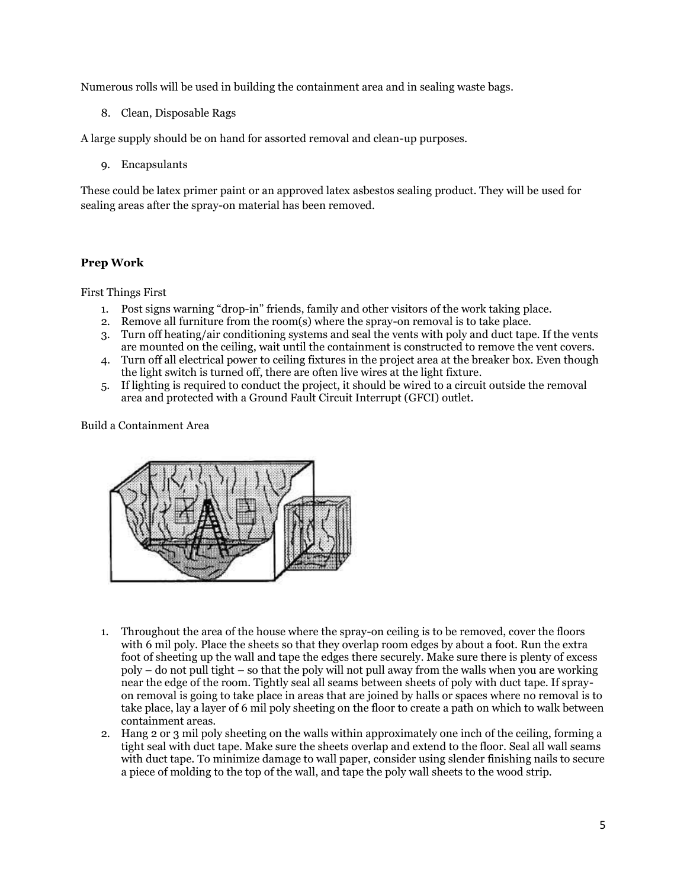Numerous rolls will be used in building the containment area and in sealing waste bags.

8. Clean, Disposable Rags

A large supply should be on hand for assorted removal and clean-up purposes.

9. Encapsulants

These could be latex primer paint or an approved latex asbestos sealing product. They will be used for sealing areas after the spray-on material has been removed.

# **Prep Work**

First Things First

- 1. Post signs warning "drop-in" friends, family and other visitors of the work taking place.
- 2. Remove all furniture from the room(s) where the spray-on removal is to take place.
- 3. Turn off heating/air conditioning systems and seal the vents with poly and duct tape. If the vents are mounted on the ceiling, wait until the containment is constructed to remove the vent covers.
- 4. Turn off all electrical power to ceiling fixtures in the project area at the breaker box. Even though the light switch is turned off, there are often live wires at the light fixture.
- 5. If lighting is required to conduct the project, it should be wired to a circuit outside the removal area and protected with a Ground Fault Circuit Interrupt (GFCI) outlet.

Build a Containment Area



- 1. Throughout the area of the house where the spray-on ceiling is to be removed, cover the floors with 6 mil poly. Place the sheets so that they overlap room edges by about a foot. Run the extra foot of sheeting up the wall and tape the edges there securely. Make sure there is plenty of excess poly – do not pull tight – so that the poly will not pull away from the walls when you are working near the edge of the room. Tightly seal all seams between sheets of poly with duct tape. If sprayon removal is going to take place in areas that are joined by halls or spaces where no removal is to take place, lay a layer of 6 mil poly sheeting on the floor to create a path on which to walk between containment areas.
- 2. Hang 2 or 3 mil poly sheeting on the walls within approximately one inch of the ceiling, forming a tight seal with duct tape. Make sure the sheets overlap and extend to the floor. Seal all wall seams with duct tape. To minimize damage to wall paper, consider using slender finishing nails to secure a piece of molding to the top of the wall, and tape the poly wall sheets to the wood strip.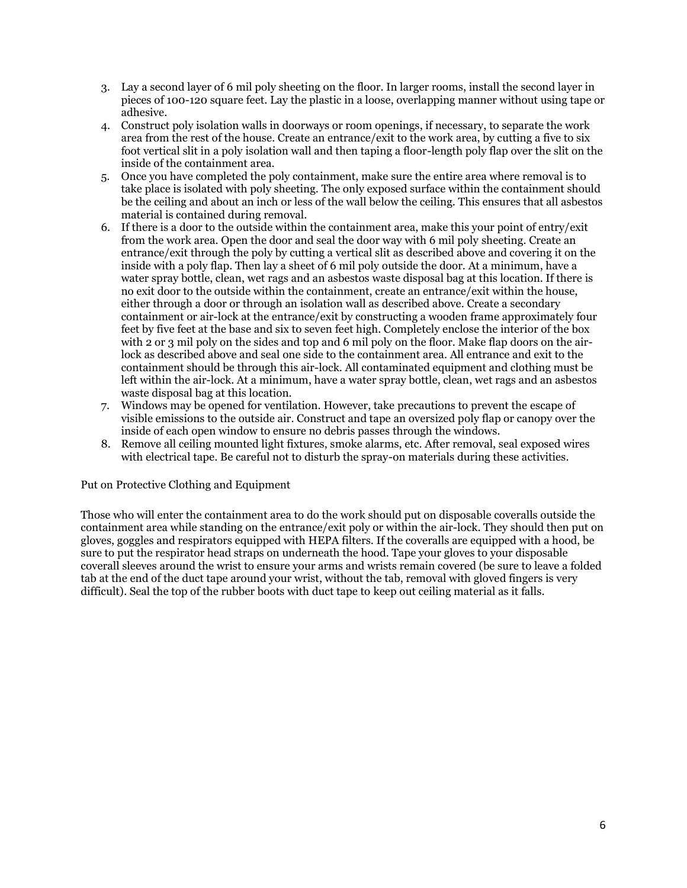- 3. Lay a second layer of 6 mil poly sheeting on the floor. In larger rooms, install the second layer in pieces of 100-120 square feet. Lay the plastic in a loose, overlapping manner without using tape or adhesive.
- 4. Construct poly isolation walls in doorways or room openings, if necessary, to separate the work area from the rest of the house. Create an entrance/exit to the work area, by cutting a five to six foot vertical slit in a poly isolation wall and then taping a floor-length poly flap over the slit on the inside of the containment area.
- 5. Once you have completed the poly containment, make sure the entire area where removal is to take place is isolated with poly sheeting. The only exposed surface within the containment should be the ceiling and about an inch or less of the wall below the ceiling. This ensures that all asbestos material is contained during removal.
- 6. If there is a door to the outside within the containment area, make this your point of entry/exit from the work area. Open the door and seal the door way with 6 mil poly sheeting. Create an entrance/exit through the poly by cutting a vertical slit as described above and covering it on the inside with a poly flap. Then lay a sheet of 6 mil poly outside the door. At a minimum, have a water spray bottle, clean, wet rags and an asbestos waste disposal bag at this location. If there is no exit door to the outside within the containment, create an entrance/exit within the house, either through a door or through an isolation wall as described above. Create a secondary containment or air-lock at the entrance/exit by constructing a wooden frame approximately four feet by five feet at the base and six to seven feet high. Completely enclose the interior of the box with 2 or 3 mil poly on the sides and top and 6 mil poly on the floor. Make flap doors on the airlock as described above and seal one side to the containment area. All entrance and exit to the containment should be through this air-lock. All contaminated equipment and clothing must be left within the air-lock. At a minimum, have a water spray bottle, clean, wet rags and an asbestos waste disposal bag at this location.
- 7. Windows may be opened for ventilation. However, take precautions to prevent the escape of visible emissions to the outside air. Construct and tape an oversized poly flap or canopy over the inside of each open window to ensure no debris passes through the windows.
- 8. Remove all ceiling mounted light fixtures, smoke alarms, etc. After removal, seal exposed wires with electrical tape. Be careful not to disturb the spray-on materials during these activities.

## Put on Protective Clothing and Equipment

Those who will enter the containment area to do the work should put on disposable coveralls outside the containment area while standing on the entrance/exit poly or within the air-lock. They should then put on gloves, goggles and respirators equipped with HEPA filters. If the coveralls are equipped with a hood, be sure to put the respirator head straps on underneath the hood. Tape your gloves to your disposable coverall sleeves around the wrist to ensure your arms and wrists remain covered (be sure to leave a folded tab at the end of the duct tape around your wrist, without the tab, removal with gloved fingers is very difficult). Seal the top of the rubber boots with duct tape to keep out ceiling material as it falls.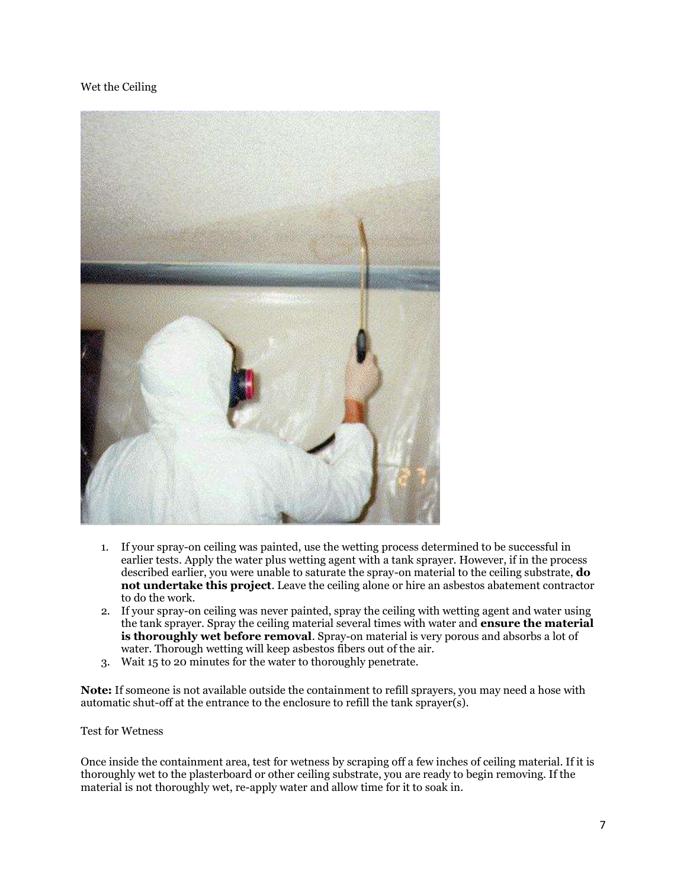## Wet the Ceiling



- 1. If your spray-on ceiling was painted, use the wetting process determined to be successful in earlier tests. Apply the water plus wetting agent with a tank sprayer. However, if in the process described earlier, you were unable to saturate the spray-on material to the ceiling substrate, **do not undertake this project**. Leave the ceiling alone or hire an asbestos abatement contractor to do the work.
- 2. If your spray-on ceiling was never painted, spray the ceiling with wetting agent and water using the tank sprayer. Spray the ceiling material several times with water and **ensure the material is thoroughly wet before removal**. Spray-on material is very porous and absorbs a lot of water. Thorough wetting will keep asbestos fibers out of the air.
- 3. Wait 15 to 20 minutes for the water to thoroughly penetrate.

**Note:** If someone is not available outside the containment to refill sprayers, you may need a hose with automatic shut-off at the entrance to the enclosure to refill the tank sprayer(s).

#### Test for Wetness

Once inside the containment area, test for wetness by scraping off a few inches of ceiling material. If it is thoroughly wet to the plasterboard or other ceiling substrate, you are ready to begin removing. If the material is not thoroughly wet, re-apply water and allow time for it to soak in.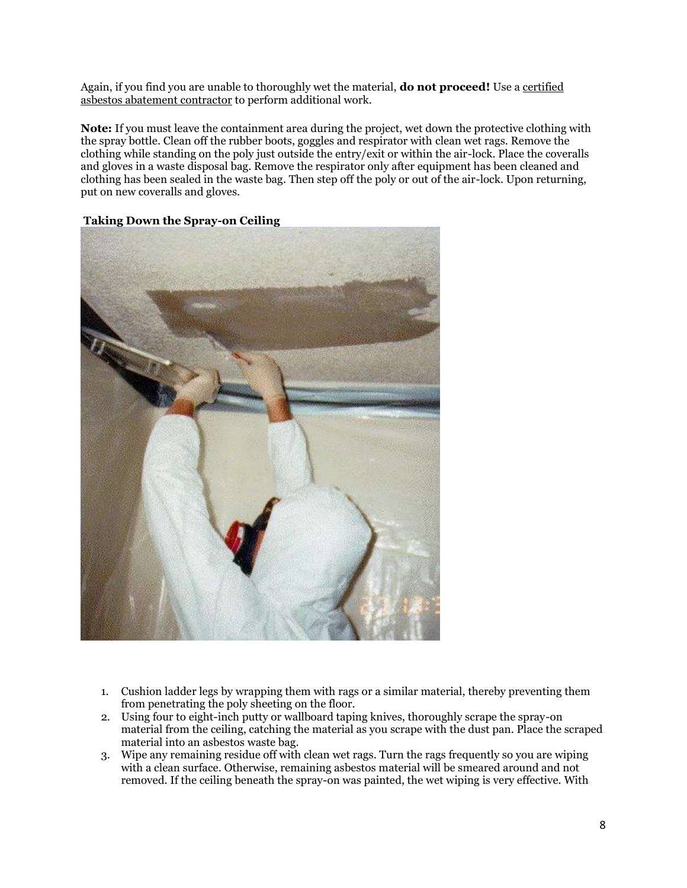Again, if you find you are unable to thoroughly wet the material, **do not proceed!** Use a certified [asbestos abatement contractor](https://documents.deq.utah.gov/air-quality/compliance/atlas/DAQ-2017-002404.pdf) to perform additional work.

**Note:** If you must leave the containment area during the project, wet down the protective clothing with the spray bottle. Clean off the rubber boots, goggles and respirator with clean wet rags. Remove the clothing while standing on the poly just outside the entry/exit or within the air-lock. Place the coveralls and gloves in a waste disposal bag. Remove the respirator only after equipment has been cleaned and clothing has been sealed in the waste bag. Then step off the poly or out of the air-lock. Upon returning, put on new coveralls and gloves.



#### **Taking Down the Spray-on Ceiling**

- 1. Cushion ladder legs by wrapping them with rags or a similar material, thereby preventing them from penetrating the poly sheeting on the floor.
- 2. Using four to eight-inch putty or wallboard taping knives, thoroughly scrape the spray-on material from the ceiling, catching the material as you scrape with the dust pan. Place the scraped material into an asbestos waste bag.
- 3. Wipe any remaining residue off with clean wet rags. Turn the rags frequently so you are wiping with a clean surface. Otherwise, remaining asbestos material will be smeared around and not removed. If the ceiling beneath the spray-on was painted, the wet wiping is very effective. With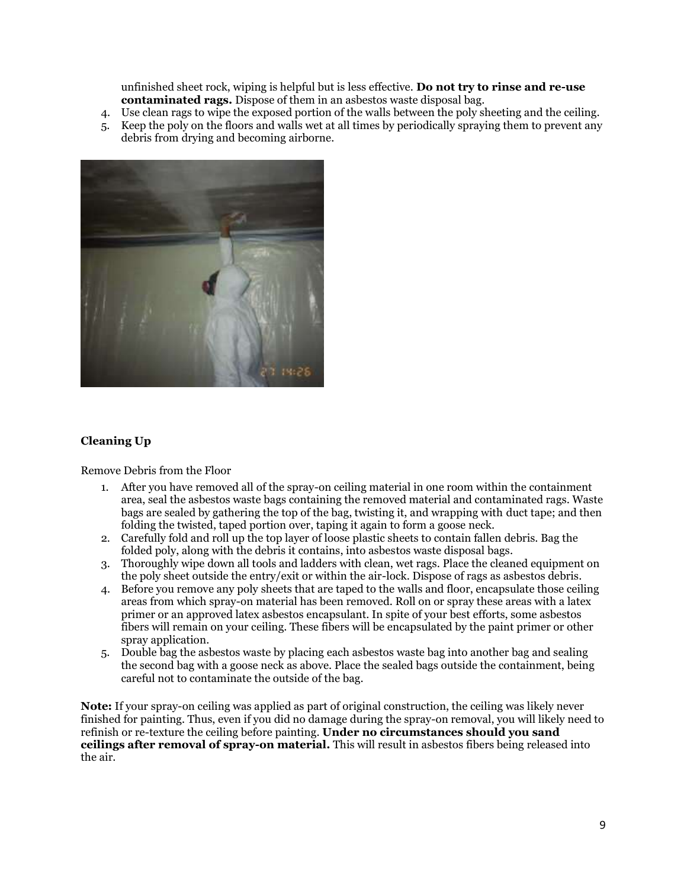unfinished sheet rock, wiping is helpful but is less effective. **Do not try to rinse and re-use contaminated rags.** Dispose of them in an asbestos waste disposal bag.

- 4. Use clean rags to wipe the exposed portion of the walls between the poly sheeting and the ceiling.
- 5. Keep the poly on the floors and walls wet at all times by periodically spraying them to prevent any debris from drying and becoming airborne.



## **Cleaning Up**

Remove Debris from the Floor

- 1. After you have removed all of the spray-on ceiling material in one room within the containment area, seal the asbestos waste bags containing the removed material and contaminated rags. Waste bags are sealed by gathering the top of the bag, twisting it, and wrapping with duct tape; and then folding the twisted, taped portion over, taping it again to form a goose neck.
- 2. Carefully fold and roll up the top layer of loose plastic sheets to contain fallen debris. Bag the folded poly, along with the debris it contains, into asbestos waste disposal bags.
- 3. Thoroughly wipe down all tools and ladders with clean, wet rags. Place the cleaned equipment on the poly sheet outside the entry/exit or within the air-lock. Dispose of rags as asbestos debris.
- 4. Before you remove any poly sheets that are taped to the walls and floor, encapsulate those ceiling areas from which spray-on material has been removed. Roll on or spray these areas with a latex primer or an approved latex asbestos encapsulant. In spite of your best efforts, some asbestos fibers will remain on your ceiling. These fibers will be encapsulated by the paint primer or other spray application.
- 5. Double bag the asbestos waste by placing each asbestos waste bag into another bag and sealing the second bag with a goose neck as above. Place the sealed bags outside the containment, being careful not to contaminate the outside of the bag.

**Note:** If your spray-on ceiling was applied as part of original construction, the ceiling was likely never finished for painting. Thus, even if you did no damage during the spray-on removal, you will likely need to refinish or re-texture the ceiling before painting. **Under no circumstances should you sand ceilings after removal of spray-on material.** This will result in asbestos fibers being released into the air.